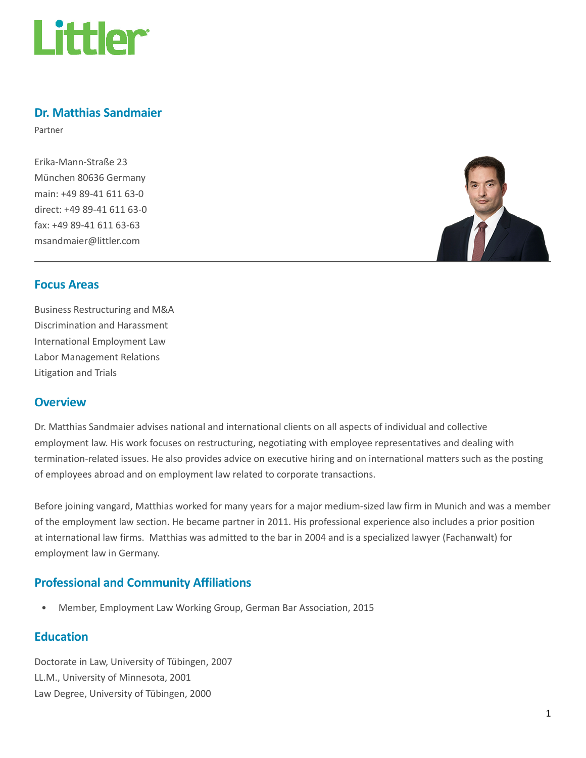

#### Dr. Matthias Sandmaier

Partner

Erika-Mann-Straße 23 München 80636 Germany main: +49 89-41 611 63-0 direct: +49 89-41 611 63-0 fax: +49 89-41 611 63-63 msandmaier@littler.com



#### Focus Areas

Business Restructuring and M&A Discrimination and Harassment International Employment Law Labor Management Relations Litigation and Trials

#### **Overview**

Dr. Matthias Sandmaier advises national and international clients on all aspects of individual and collective employment law. His work focuses on restructuring, negotiating with employee representatives and dealing with termination-related issues. He also provides advice on executive hiring and on international matters such as the posting of employees abroad and on employment law related to corporate transactions.

Before joining vangard, Matthias worked for many years for a major medium-sized law firm in Munich and was a member of the employment law section. He became partner in 2011. His professional experience also includes a prior position at international law firms. Matthias was admitted to the bar in 2004 and is a specialized lawyer (Fachanwalt) for employment law in Germany.

# Professional and Community Affiliations

• Member, Employment Law Working Group, German Bar Association, 2015

## **Education**

Doctorate in Law, University of Tübingen, 2007 LL.M., University of Minnesota, 2001 Law Degree, University of Tübingen, 2000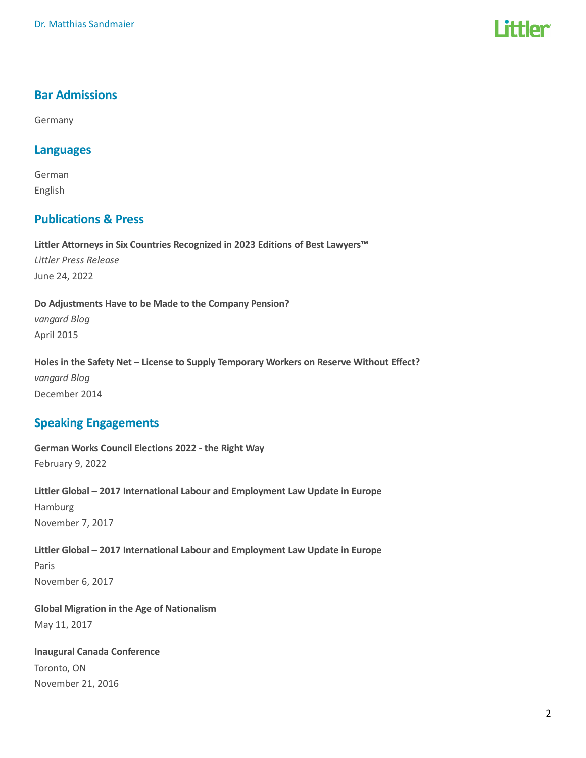# l ittler

## Bar Admissions

Germany

#### Languages

German English

## Publications & Press

Littler Attorneys in Six Countries Recognized in 2023 Editions of Best Lawyers™ Littler Press Release June 24, 2022

Do Adjustments Have to be Made to the Company Pension? vangard Blog April 2015

Holes in the Safety Net – License to Supply Temporary Workers on Reserve Without Effect? vangard Blog December 2014

## Speaking Engagements

German Works Council Elections 2022 - the Right Way February 9, 2022

Littler Global – 2017 International Labour and Employment Law Update in Europe Hamburg November 7, 2017

Littler Global – 2017 International Labour and Employment Law Update in Europe Paris November 6, 2017

Global Migration in the Age of Nationalism May 11, 2017

Inaugural Canada Conference Toronto, ON November 21, 2016